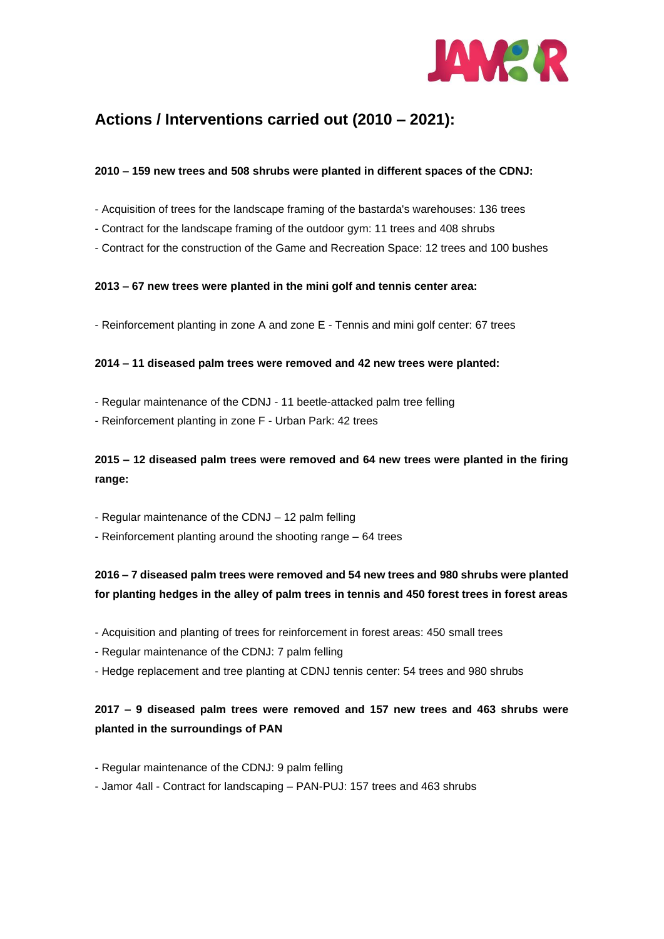

# **Actions / Interventions carried out (2010 – 2021):**

### **2010 – 159 new trees and 508 shrubs were planted in different spaces of the CDNJ:**

- Acquisition of trees for the landscape framing of the bastarda's warehouses: 136 trees
- Contract for the landscape framing of the outdoor gym: 11 trees and 408 shrubs
- Contract for the construction of the Game and Recreation Space: 12 trees and 100 bushes

### **2013 – 67 new trees were planted in the mini golf and tennis center area:**

- Reinforcement planting in zone A and zone E - Tennis and mini golf center: 67 trees

#### **2014 – 11 diseased palm trees were removed and 42 new trees were planted:**

- Regular maintenance of the CDNJ 11 beetle-attacked palm tree felling
- Reinforcement planting in zone F Urban Park: 42 trees

### **2015 – 12 diseased palm trees were removed and 64 new trees were planted in the firing range:**

- Regular maintenance of the CDNJ 12 palm felling
- Reinforcement planting around the shooting range 64 trees

# **2016 – 7 diseased palm trees were removed and 54 new trees and 980 shrubs were planted for planting hedges in the alley of palm trees in tennis and 450 forest trees in forest areas**

- Acquisition and planting of trees for reinforcement in forest areas: 450 small trees
- Regular maintenance of the CDNJ: 7 palm felling
- Hedge replacement and tree planting at CDNJ tennis center: 54 trees and 980 shrubs

### **2017 – 9 diseased palm trees were removed and 157 new trees and 463 shrubs were planted in the surroundings of PAN**

- Regular maintenance of the CDNJ: 9 palm felling
- Jamor 4all Contract for landscaping PAN-PUJ: 157 trees and 463 shrubs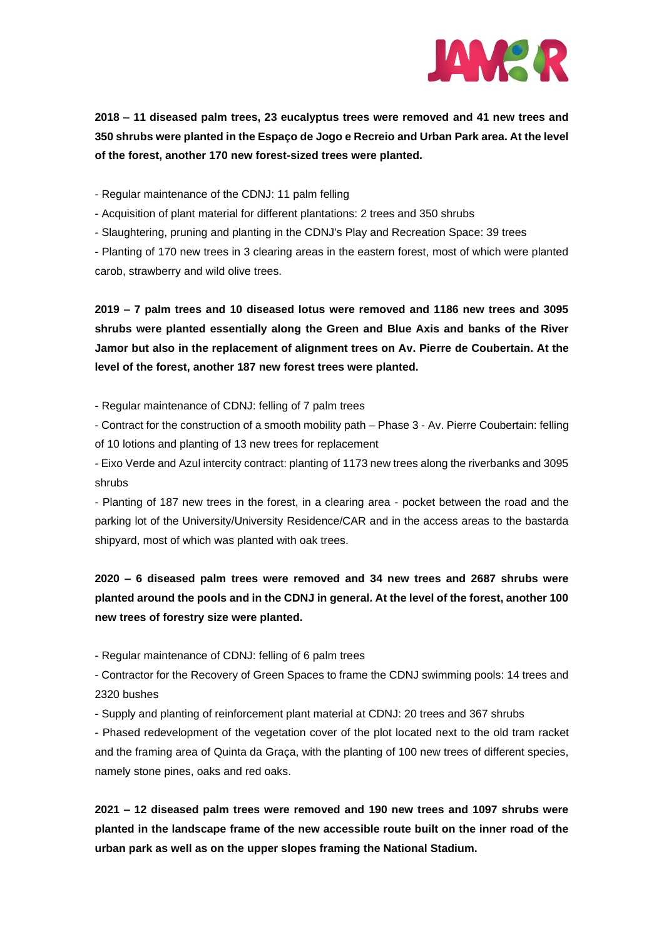

**2018 – 11 diseased palm trees, 23 eucalyptus trees were removed and 41 new trees and 350 shrubs were planted in the Espaço de Jogo e Recreio and Urban Park area. At the level of the forest, another 170 new forest-sized trees were planted.**

- Regular maintenance of the CDNJ: 11 palm felling

- Acquisition of plant material for different plantations: 2 trees and 350 shrubs

- Slaughtering, pruning and planting in the CDNJ's Play and Recreation Space: 39 trees

- Planting of 170 new trees in 3 clearing areas in the eastern forest, most of which were planted carob, strawberry and wild olive trees.

**2019 – 7 palm trees and 10 diseased lotus were removed and 1186 new trees and 3095 shrubs were planted essentially along the Green and Blue Axis and banks of the River Jamor but also in the replacement of alignment trees on Av. Pierre de Coubertain. At the level of the forest, another 187 new forest trees were planted.**

- Regular maintenance of CDNJ: felling of 7 palm trees

- Contract for the construction of a smooth mobility path – Phase 3 - Av. Pierre Coubertain: felling of 10 lotions and planting of 13 new trees for replacement

- Eixo Verde and Azul intercity contract: planting of 1173 new trees along the riverbanks and 3095 shrubs

- Planting of 187 new trees in the forest, in a clearing area - pocket between the road and the parking lot of the University/University Residence/CAR and in the access areas to the bastarda shipyard, most of which was planted with oak trees.

# **2020 – 6 diseased palm trees were removed and 34 new trees and 2687 shrubs were planted around the pools and in the CDNJ in general. At the level of the forest, another 100 new trees of forestry size were planted.**

- Regular maintenance of CDNJ: felling of 6 palm trees

- Contractor for the Recovery of Green Spaces to frame the CDNJ swimming pools: 14 trees and 2320 bushes

- Supply and planting of reinforcement plant material at CDNJ: 20 trees and 367 shrubs

- Phased redevelopment of the vegetation cover of the plot located next to the old tram racket and the framing area of Quinta da Graça, with the planting of 100 new trees of different species, namely stone pines, oaks and red oaks.

**2021 – 12 diseased palm trees were removed and 190 new trees and 1097 shrubs were planted in the landscape frame of the new accessible route built on the inner road of the urban park as well as on the upper slopes framing the National Stadium.**